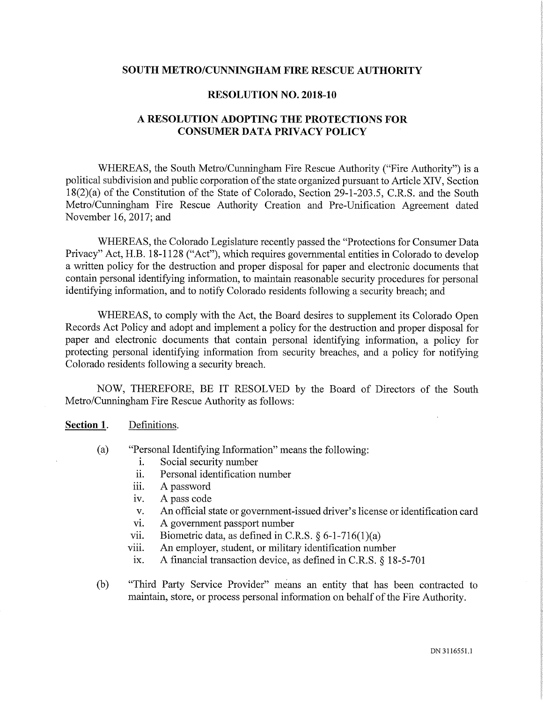## SOUTH METRO/CUNNINGHAM FIRE RESCUE AUTHORITY

## RESOLUTION NO. 2018-10

## A RESOLUTION ADOPTING THE PROTECTIONS FOR CONSUMER DATA PRIVACY POLICY

WHEREAS, the South Metro/Cunningham Fire Rescue Authority ("Fire Authority") is a political subdivision and public corporation of the state organized pursuant to Article XIV, Section 18(2)(a) of the Constitution of the State of Colorado, Section 29-1-203.5, C.R.S. and the South Metro/Cunningham Fire Rescue Authority Creation and Pre-Unification Agreement dated November 16, 2017; and

WHEREAS, the Colorado Legislature recently passed the "Protections for Consumer Data Privacy" Act, H.B. 18-1128 ("Act"), which requires governmental entities in Colorado to develop a written policy for the destruction and proper disposal for paper and electronic documents that contain personal identifying information, to maintain reasonable security procedures for personal identifying information, and to notify Colorado residents following a security breach; and

WHEREAS, to comply with the Act, the Board desires to supplement its Colorado Open Records Act Policy and adopt and implement a policy for the destmction and proper disposal for paper and electronic documents that contain personal identifying information, a policy for protecting personal identifying information from security breaches, and a policy for notifying Colorado residents following a security breach.

NOW, THEREFORE, BE IT RESOLVED by the Board of Directors of the South Metro/Cunningham Fire Rescue Authority as follows:

## Section 1. Definitions.

- (a) "Personal Identifying Information" means the following:
	- i. Social security number
	- ii. Personal identification number
	- iii. A password
	- iv. A pass code
	- v. An official state or govermnent-issued driver's license or identification card
	- vi. A government passport number
	- vii. Biometric data, as defined in C.R.S.  $\S 6$ -1-716(1)(a)
	- viii. An employer, student, or military identification number
	- ix. A financial transaction device, as defined in C.R.S. § 18-5-701
- (b) "Third Party Service Provider" means an entity that has been contracted to maintain, store, or process personal information on behalf of the Fire Authority.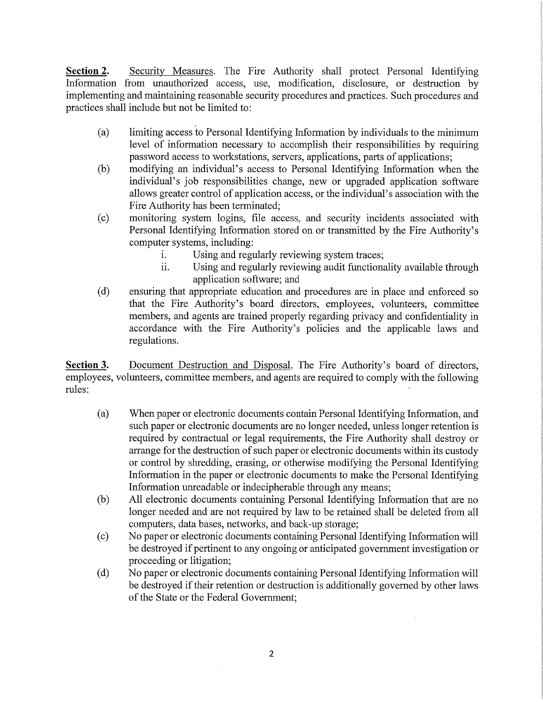Section 2. Security Measures. The Fire Authority shall protect Personal Identifying Information from unauthorized access, use, modification, disclosure, or destruction by implementing and maintaining reasonable security procedures and practices. Such procedures and practices shall include but not be limited to:

- (a) limiting access to Personal Identifying Information by individuals to the minimum level of information necessary to accomplish their responsibilities by requiring password access to workstations, servers, applications, parts of applications;
- (b) modifying an individual's access to Personal Identifying Information when the individual's job responsibilities change, new or upgraded application software allows greater control of application access, or the individual's association with the Fire Authority has been terminated;
- (c) monitoring system logins, file access, and security incidents associated with Personal Identifying Information stored on or transmitted by the Fire Authority's computer systems, including:
	- i. Using and regularly reviewing system traces;
	- ii. Using and regularly reviewing audit functionality available through application software; and
- (d) ensuring that appropriate education and procedures are in place and enforced so that the Fire Authority's board directors, employees, volunteers, committee members, and agents are trained properly regarding privacy and confidentiality in accordance with the Fire Authority's policies and the applicable laws and regulations.

Section 3. Document Destruction and Disposal. The Fire Authority's board of directors, employees, volunteers, committee members, and agents are required to comply with the following mles:

- (a) When paper or electronic documents contain Personal Identifying Information, and such paper or electronic documents are no longer needed, unless longer retention is required by contractual or legal requirements, the Fire Authority shall destroy or arrange for the destruction of such paper or electronic documents within its custody or control by shredding, erasing, or otherwise modifying the Personal Identifying Information in the paper or electronic documents to make the Personal Identifying Information unreadable or indecipherable through any means;
- (b) All electronic documents containing Personal Identifying Information that are no longer needed and are not required by law to be retained shall be deleted from all computers, data bases, networks, and back-up storage;
- (c) No paper or electronic documents containing Personal Identifying Information will be destroyed if pertinent to any ongoing or anticipated government investigation or proceeding or litigation;
- (d) No paper or electronic documents containing Personal Identifying Information will be destroyed if their retention or destruction is additionally governed by other laws of the State or the Federal Government;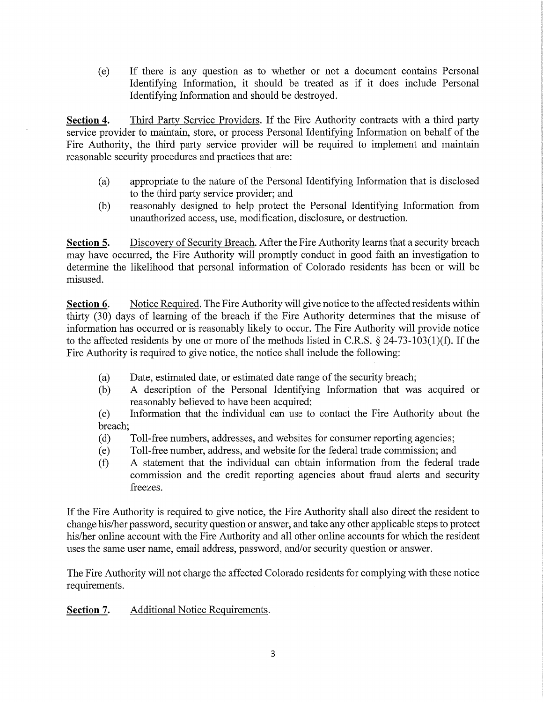(e) If there is any question as to whether or not a document contains Personal Identifying Information, it should be treated as if it does include Personal Identifying Information and should be destroyed.

Section 4. Third Party Service Providers. If the Fire Authority contracts with a third party service provider to maintain, store, or process Personal Identifying Information on behalf of the Fire Authority, the third party service provider will be required to implement and maintain reasonable security procedures and practices that are:

- (a) appropriate to the nature of the Personal Identifying Information that is disclosed to the third party service provider; and
- (b) reasonably designed to help protect the Personal Identifying Information from unauthorized access, use, modification, disclosure, or destruction.

Section 5. Discovery of Security Breach. After the Fire Authority learns that a security breach may have occurred, the Fire Authority will promptly conduct in good faith an investigation to determine the likelihood that personal information of Colorado residents has been or will be misused.

Section 6. Notice Required. The Fire Authority will give notice to the affected residents within thirty (30) days of learning of the breach if the Fire Authority determines that the misuse of information has occurred or is reasonably likely to occur. The Fire Authority will provide notice to the affected residents by one or more of the methods listed in C.R.S. § 24-73-103(l)(f). If the Fire Authority is required to give notice, the notice shall include the following:

- (a) Date, estimated date, or estimated date range of the security breach;
- (b) A description of the Personal Identifying Information that was acquired or reasonably believed to have been acquired;
- (c) Information that the individual can use to contact the Fire Authority about the breach;
- (d) Toll-free numbers, addresses, and websites for consumer reporting agencies;
- (e) Toll-free number, address, and website for the federal trade commission; and
- (f) A statement that the individual can obtain information from the federal trade commission and the credit reporting agencies about fraud alerts and security freezes.

If the Fire Authority is required to give notice, the Fire Authority shall also direct the resident to change his/her password, security question or answer, and take any other applicable steps to protect his/her online account with the Fire Authority and all other online accounts for which the resident uses the same user name, email address, password, and/or security question or answer.

The Fire Authority will not charge the affected Colorado residents for complying with these notice requirements.

Section 7. Additional Notice Requirements.